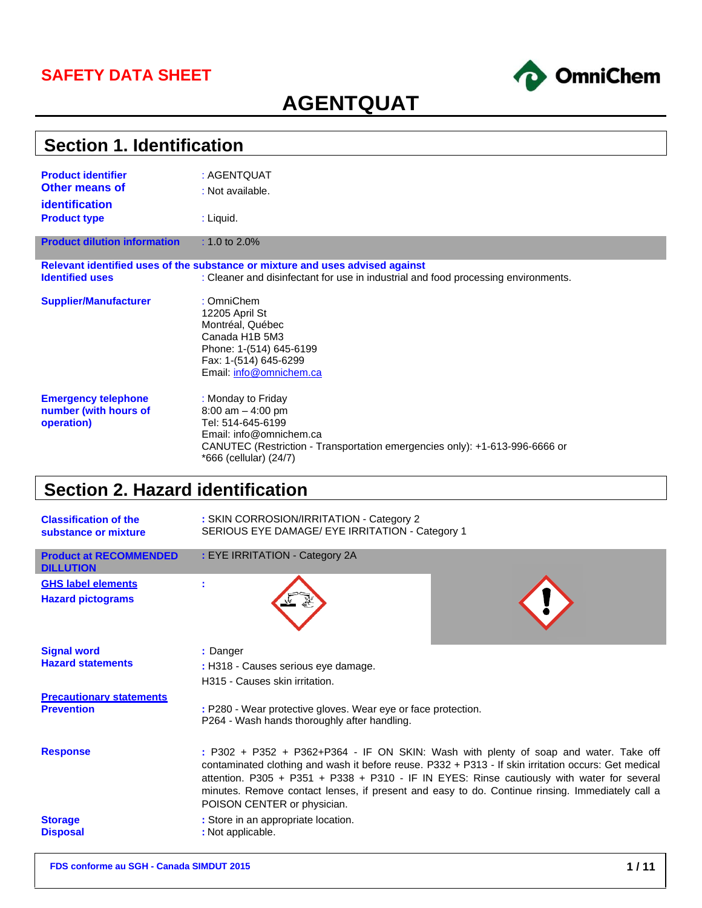## **SAFETY DATA SHEET**



# **AGENTQUAT**

| <b>Section 1. Identification</b>    |                                                                                    |  |
|-------------------------------------|------------------------------------------------------------------------------------|--|
| <b>Product identifier</b>           | : AGENTQUAT                                                                        |  |
| <b>Other means of</b>               | : Not available.                                                                   |  |
| <b>identification</b>               |                                                                                    |  |
| <b>Product type</b>                 | $:$ Liquid.                                                                        |  |
|                                     |                                                                                    |  |
| <b>Product dilution information</b> | : 1.0 to $2.0\%$                                                                   |  |
|                                     | Relevant identified uses of the substance or mixture and uses advised against      |  |
| <b>Identified uses</b>              | : Cleaner and disinfectant for use in industrial and food processing environments. |  |
|                                     |                                                                                    |  |
| <b>Supplier/Manufacturer</b>        | : OmniChem                                                                         |  |
|                                     | 12205 April St                                                                     |  |
|                                     | Montréal, Québec                                                                   |  |
|                                     | Canada H1B 5M3                                                                     |  |
|                                     | Phone: 1-(514) 645-6199                                                            |  |
|                                     | Fax: 1-(514) 645-6299                                                              |  |
|                                     | Email: info@omnichem.ca                                                            |  |
| <b>Emergency telephone</b>          | : Monday to Friday                                                                 |  |
| number (with hours of               | $8:00$ am $-4:00$ pm                                                               |  |
| operation)                          | Tel: 514-645-6199                                                                  |  |
|                                     | Email: info@omnichem.ca                                                            |  |
|                                     | CANUTEC (Restriction - Transportation emergencies only): +1-613-996-6666 or        |  |
|                                     | *666 (cellular) (24/7)                                                             |  |

# **Section 2. Hazard identification**

| <b>Classification of the</b><br>substance or mixture | : SKIN CORROSION/IRRITATION - Category 2<br>SERIOUS EYE DAMAGE/ EYE IRRITATION - Category 1                                                                                                                                                                                                                                                                                                                                  |
|------------------------------------------------------|------------------------------------------------------------------------------------------------------------------------------------------------------------------------------------------------------------------------------------------------------------------------------------------------------------------------------------------------------------------------------------------------------------------------------|
| <b>Product at RECOMMENDED</b><br><b>DILLUTION</b>    | : EYE IRRITATION - Category 2A                                                                                                                                                                                                                                                                                                                                                                                               |
| <b>GHS label elements</b>                            |                                                                                                                                                                                                                                                                                                                                                                                                                              |
| <b>Hazard pictograms</b>                             |                                                                                                                                                                                                                                                                                                                                                                                                                              |
| <b>Signal word</b>                                   | : Danger                                                                                                                                                                                                                                                                                                                                                                                                                     |
| <b>Hazard statements</b>                             | : H318 - Causes serious eye damage.                                                                                                                                                                                                                                                                                                                                                                                          |
|                                                      | H315 - Causes skin irritation.                                                                                                                                                                                                                                                                                                                                                                                               |
| <b>Precautionary statements</b><br><b>Prevention</b> | : P280 - Wear protective gloves. Wear eye or face protection.<br>P264 - Wash hands thoroughly after handling.                                                                                                                                                                                                                                                                                                                |
| <b>Response</b>                                      | : P302 + P352 + P362+P364 - IF ON SKIN: Wash with plenty of soap and water. Take off<br>contaminated clothing and wash it before reuse. P332 + P313 - If skin irritation occurs: Get medical<br>attention. P305 + P351 + P338 + P310 - IF IN EYES: Rinse cautiously with water for several<br>minutes. Remove contact lenses, if present and easy to do. Continue rinsing. Immediately call a<br>POISON CENTER or physician. |
| <b>Storage</b><br><b>Disposal</b>                    | : Store in an appropriate location.<br>: Not applicable.                                                                                                                                                                                                                                                                                                                                                                     |
|                                                      |                                                                                                                                                                                                                                                                                                                                                                                                                              |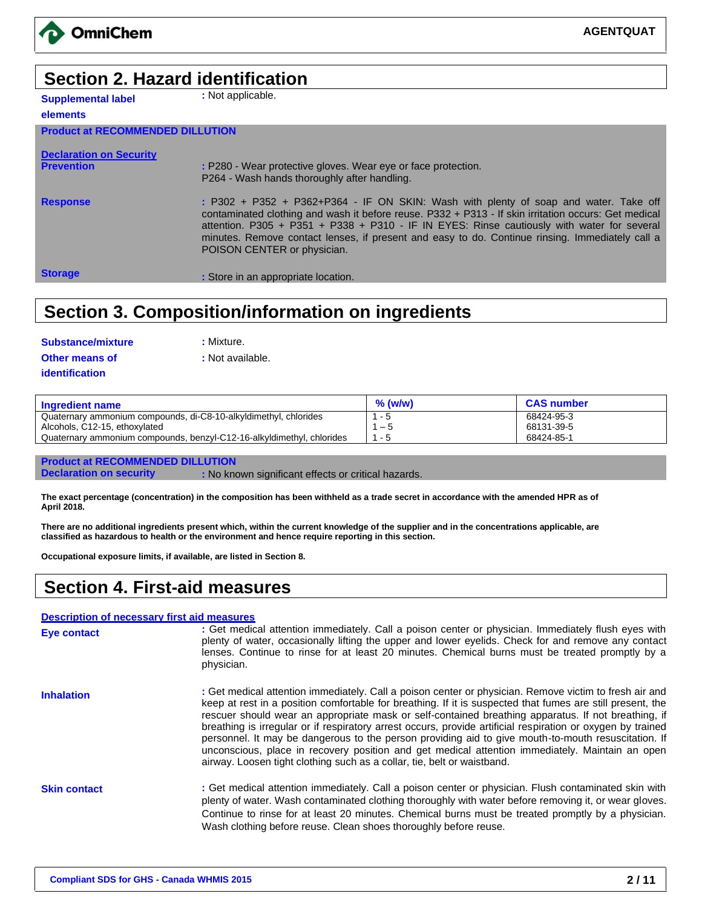

**AGENTQUAT**

# **Section 2. Hazard identification**

**Supplemental label elements**

**:** Not applicable.

| <b>Product at RECOMMENDED DILLUTION</b> |                                                                                                      |
|-----------------------------------------|------------------------------------------------------------------------------------------------------|
|                                         |                                                                                                      |
| <b>Declaration on Security</b>          |                                                                                                      |
| <b>Prevention</b>                       | : P280 - Wear protective gloves. Wear eye or face protection.                                        |
|                                         | P264 - Wash hands thoroughly after handling.                                                         |
|                                         |                                                                                                      |
| <b>Response</b>                         | $:$ P302 + P352 + P362+P364 - IF ON SKIN: Wash with plenty of soap and water. Take off               |
|                                         | contaminated clothing and wash it before reuse. P332 + P313 - If skin irritation occurs: Get medical |
|                                         | attention. P305 + P351 + P338 + P310 - IF IN EYES: Rinse cautiously with water for several           |
|                                         |                                                                                                      |
|                                         | minutes. Remove contact lenses, if present and easy to do. Continue rinsing. Immediately call a      |
|                                         | POISON CENTER or physician.                                                                          |
|                                         |                                                                                                      |
| <b>Storage</b>                          | : Store in an appropriate location.                                                                  |
|                                         |                                                                                                      |

# **Section 3. Composition/information on ingredients**

| Substance/mixture |  |
|-------------------|--|
| Other means of    |  |
| identification    |  |

**: Mixture. :** Not available.

| <b>Ingredient name</b>                                                | $%$ (w/w) | <b>CAS number</b> |
|-----------------------------------------------------------------------|-----------|-------------------|
| Quaternary ammonium compounds, di-C8-10-alkyldimethyl, chlorides      | - 5       | 68424-95-3        |
| Alcohols, C12-15, ethoxylated                                         | $-5$      | 68131-39-5        |
| Quaternary ammonium compounds, benzyl-C12-16-alkyldimethyl, chlorides | - 5       | 68424-85-1        |
|                                                                       |           |                   |

**Product at RECOMMENDED DILLUTION**

**Declaration on security : No known significant effects or critical hazards.** 

**The exact percentage (concentration) in the composition has been withheld as a trade secret in accordance with the amended HPR as of April 2018.**

**There are no additional ingredients present which, within the current knowledge of the supplier and in the concentrations applicable, are classified as hazardous to health or the environment and hence require reporting in this section.**

**Occupational exposure limits, if available, are listed in Section 8.**

## **Section 4. First-aid measures**

#### **Description of necessary first aid measures**

| Eye contact         | : Get medical attention immediately. Call a poison center or physician. Immediately flush eyes with<br>plenty of water, occasionally lifting the upper and lower eyelids. Check for and remove any contact<br>lenses. Continue to rinse for at least 20 minutes. Chemical burns must be treated promptly by a<br>physician.                                                                                                                                                                                                                                                                                                                                                                                                     |
|---------------------|---------------------------------------------------------------------------------------------------------------------------------------------------------------------------------------------------------------------------------------------------------------------------------------------------------------------------------------------------------------------------------------------------------------------------------------------------------------------------------------------------------------------------------------------------------------------------------------------------------------------------------------------------------------------------------------------------------------------------------|
| <b>Inhalation</b>   | : Get medical attention immediately. Call a poison center or physician. Remove victim to fresh air and<br>keep at rest in a position comfortable for breathing. If it is suspected that fumes are still present, the<br>rescuer should wear an appropriate mask or self-contained breathing apparatus. If not breathing, if<br>breathing is irregular or if respiratory arrest occurs, provide artificial respiration or oxygen by trained<br>personnel. It may be dangerous to the person providing aid to give mouth-to-mouth resuscitation. If<br>unconscious, place in recovery position and get medical attention immediately. Maintain an open<br>airway. Loosen tight clothing such as a collar, tie, belt or waistband. |
| <b>Skin contact</b> | : Get medical attention immediately. Call a poison center or physician. Flush contaminated skin with<br>plenty of water. Wash contaminated clothing thoroughly with water before removing it, or wear gloves.<br>Continue to rinse for at least 20 minutes. Chemical burns must be treated promptly by a physician.<br>Wash clothing before reuse. Clean shoes thoroughly before reuse.                                                                                                                                                                                                                                                                                                                                         |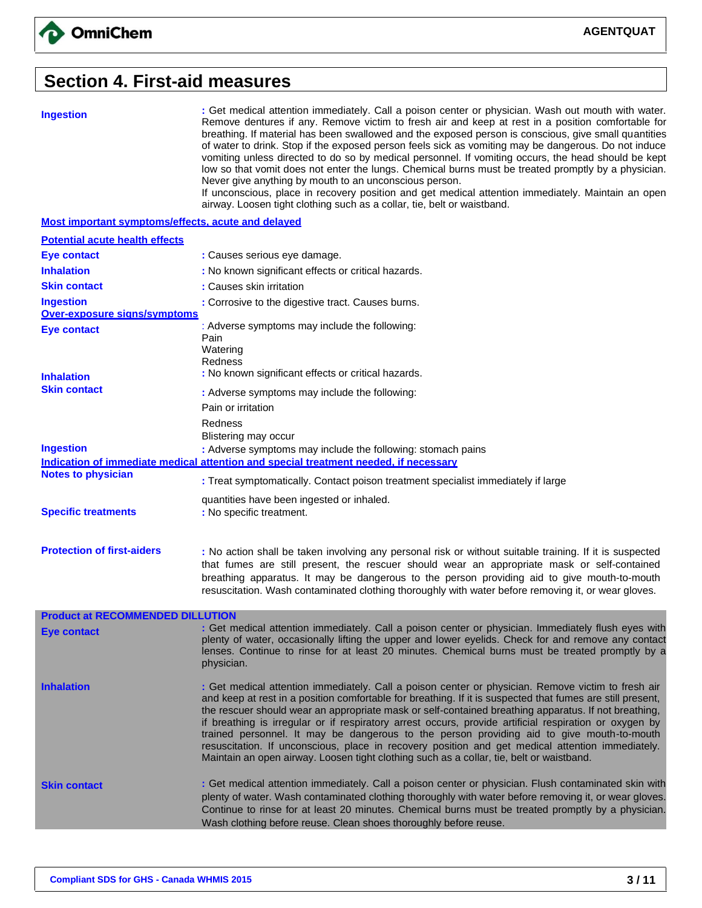#### **Section 4. First-aid measures**

**Ingestion :** Get medical attention immediately. Call a poison center or physician. Wash out mouth with water. Remove dentures if any. Remove victim to fresh air and keep at rest in a position comfortable for breathing. If material has been swallowed and the exposed person is conscious, give small quantities of water to drink. Stop if the exposed person feels sick as vomiting may be dangerous. Do not induce vomiting unless directed to do so by medical personnel. If vomiting occurs, the head should be kept low so that vomit does not enter the lungs. Chemical burns must be treated promptly by a physician. Never give anything by mouth to an unconscious person. If unconscious, place in recovery position and get medical attention immediately. Maintain an open airway. Loosen tight clothing such as a collar, tie, belt or waistband.

**Most important symptoms/effects, acute and delayed**

| <b>Potential acute health effects</b>                   |                                                                                                                                                                                                                                                                                                                                                                                                                                                                                                                                                                                                                                                                                                                                 |
|---------------------------------------------------------|---------------------------------------------------------------------------------------------------------------------------------------------------------------------------------------------------------------------------------------------------------------------------------------------------------------------------------------------------------------------------------------------------------------------------------------------------------------------------------------------------------------------------------------------------------------------------------------------------------------------------------------------------------------------------------------------------------------------------------|
| <b>Eye contact</b>                                      | : Causes serious eye damage.                                                                                                                                                                                                                                                                                                                                                                                                                                                                                                                                                                                                                                                                                                    |
| <b>Inhalation</b>                                       | : No known significant effects or critical hazards.                                                                                                                                                                                                                                                                                                                                                                                                                                                                                                                                                                                                                                                                             |
| <b>Skin contact</b>                                     | : Causes skin irritation                                                                                                                                                                                                                                                                                                                                                                                                                                                                                                                                                                                                                                                                                                        |
| <b>Ingestion</b><br><b>Over-exposure signs/symptoms</b> | : Corrosive to the digestive tract. Causes burns.                                                                                                                                                                                                                                                                                                                                                                                                                                                                                                                                                                                                                                                                               |
| <b>Eye contact</b>                                      | : Adverse symptoms may include the following:<br>Pain                                                                                                                                                                                                                                                                                                                                                                                                                                                                                                                                                                                                                                                                           |
| <b>Inhalation</b>                                       | Watering<br>Redness<br>: No known significant effects or critical hazards.                                                                                                                                                                                                                                                                                                                                                                                                                                                                                                                                                                                                                                                      |
| <b>Skin contact</b>                                     | : Adverse symptoms may include the following:                                                                                                                                                                                                                                                                                                                                                                                                                                                                                                                                                                                                                                                                                   |
|                                                         | Pain or irritation                                                                                                                                                                                                                                                                                                                                                                                                                                                                                                                                                                                                                                                                                                              |
| <b>Ingestion</b>                                        | Redness<br>Blistering may occur<br>: Adverse symptoms may include the following: stomach pains                                                                                                                                                                                                                                                                                                                                                                                                                                                                                                                                                                                                                                  |
|                                                         | Indication of immediate medical attention and special treatment needed. if necessary                                                                                                                                                                                                                                                                                                                                                                                                                                                                                                                                                                                                                                            |
| <b>Notes to physician</b>                               | : Treat symptomatically. Contact poison treatment specialist immediately if large                                                                                                                                                                                                                                                                                                                                                                                                                                                                                                                                                                                                                                               |
| <b>Specific treatments</b>                              | quantities have been ingested or inhaled.<br>: No specific treatment.                                                                                                                                                                                                                                                                                                                                                                                                                                                                                                                                                                                                                                                           |
| <b>Protection of first-aiders</b>                       | : No action shall be taken involving any personal risk or without suitable training. If it is suspected<br>that fumes are still present, the rescuer should wear an appropriate mask or self-contained                                                                                                                                                                                                                                                                                                                                                                                                                                                                                                                          |
|                                                         | breathing apparatus. It may be dangerous to the person providing aid to give mouth-to-mouth<br>resuscitation. Wash contaminated clothing thoroughly with water before removing it, or wear gloves.                                                                                                                                                                                                                                                                                                                                                                                                                                                                                                                              |
| <b>Product at RECOMMENDED DILLUTION</b>                 |                                                                                                                                                                                                                                                                                                                                                                                                                                                                                                                                                                                                                                                                                                                                 |
| <b>Eye contact</b>                                      | : Get medical attention immediately. Call a poison center or physician. Immediately flush eyes with<br>plenty of water, occasionally lifting the upper and lower eyelids. Check for and remove any contact<br>lenses. Continue to rinse for at least 20 minutes. Chemical burns must be treated promptly by a<br>physician.                                                                                                                                                                                                                                                                                                                                                                                                     |
| <b>Inhalation</b>                                       | : Get medical attention immediately. Call a poison center or physician. Remove victim to fresh air<br>and keep at rest in a position comfortable for breathing. If it is suspected that fumes are still present,<br>the rescuer should wear an appropriate mask or self-contained breathing apparatus. If not breathing,<br>if breathing is irregular or if respiratory arrest occurs, provide artificial respiration or oxygen by<br>trained personnel. It may be dangerous to the person providing aid to give mouth-to-mouth<br>resuscitation. If unconscious, place in recovery position and get medical attention immediately.<br>Maintain an open airway. Loosen tight clothing such as a collar, tie, belt or waistband. |
| <b>Skin contact</b>                                     | : Get medical attention immediately. Call a poison center or physician. Flush contaminated skin with<br>plenty of water. Wash contaminated clothing thoroughly with water before removing it, or wear gloves.<br>Continue to rinse for at least 20 minutes. Chemical burns must be treated promptly by a physician.<br>Wash clothing before reuse. Clean shoes thoroughly before reuse.                                                                                                                                                                                                                                                                                                                                         |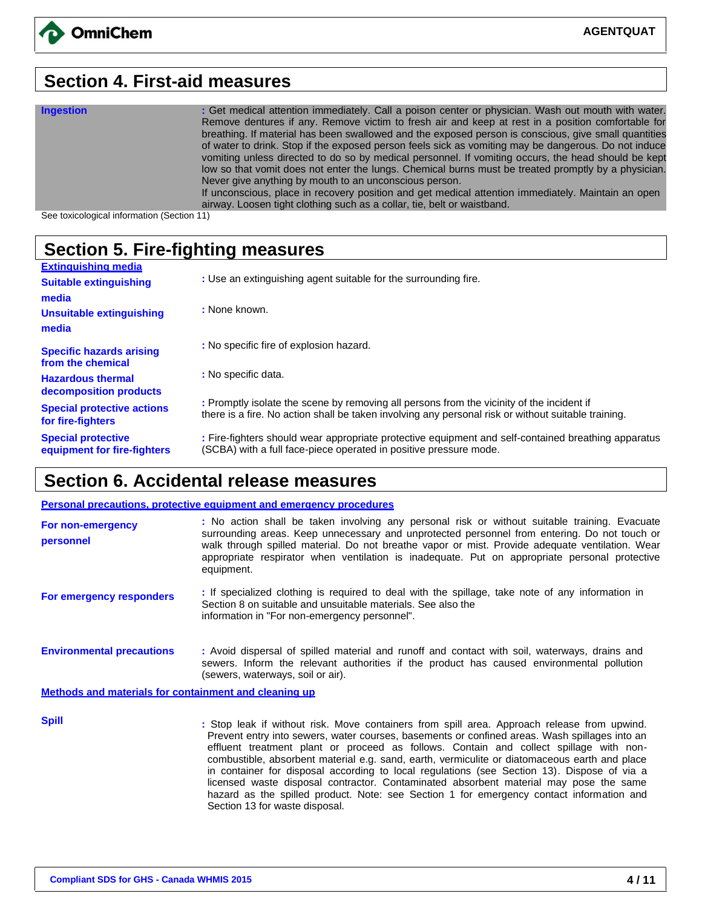#### **Section 4. First-aid measures**

| <b>Ingestion</b> | : Get medical attention immediately. Call a poison center or physician. Wash out mouth with water.   |
|------------------|------------------------------------------------------------------------------------------------------|
|                  | Remove dentures if any. Remove victim to fresh air and keep at rest in a position comfortable for    |
|                  | breathing. If material has been swallowed and the exposed person is conscious, give small quantities |
|                  | of water to drink. Stop if the exposed person feels sick as vomiting may be dangerous. Do not induce |
|                  | vomiting unless directed to do so by medical personnel. If vomiting occurs, the head should be kept  |
|                  | low so that vomit does not enter the lungs. Chemical burns must be treated promptly by a physician.  |
|                  | Never give anything by mouth to an unconscious person.                                               |
|                  | If unconscious, place in recovery position and get medical attention immediately. Maintain an open   |
|                  | airway. Loosen tight clothing such as a collar, tie, belt or waistband.                              |

See toxicological information (Section 11)

## **Section 5. Fire-fighting measures**

| <b>Extinguishing media</b>                               |                                                                                                                                                                          |
|----------------------------------------------------------|--------------------------------------------------------------------------------------------------------------------------------------------------------------------------|
| <b>Suitable extinguishing</b>                            | : Use an extinguishing agent suitable for the surrounding fire.                                                                                                          |
| media                                                    |                                                                                                                                                                          |
| Unsuitable extinguishing                                 | : None known.                                                                                                                                                            |
| media                                                    |                                                                                                                                                                          |
| Specific hazards arising                                 | : No specific fire of explosion hazard.                                                                                                                                  |
| from the chemical                                        |                                                                                                                                                                          |
| <b>Hazardous thermal</b><br>decomposition products       | : No specific data.                                                                                                                                                      |
| <b>Special protective actions</b>                        | : Promptly isolate the scene by removing all persons from the vicinity of the incident if                                                                                |
| for fire-fighters                                        | there is a fire. No action shall be taken involving any personal risk or without suitable training.                                                                      |
| <b>Special protective</b><br>equipment for fire-fighters | : Fire-fighters should wear appropriate protective equipment and self-contained breathing apparatus<br>(SCBA) with a full face-piece operated in positive pressure mode. |

### **Section 6. Accidental release measures**

#### **Personal precautions, protective equipment and emergency procedures**

| For non-emergency<br>personnel                        | : No action shall be taken involving any personal risk or without suitable training. Evacuate<br>surrounding areas. Keep unnecessary and unprotected personnel from entering. Do not touch or<br>walk through spilled material. Do not breathe vapor or mist. Provide adequate ventilation. Wear<br>appropriate respirator when ventilation is inadequate. Put on appropriate personal protective<br>equipment. |
|-------------------------------------------------------|-----------------------------------------------------------------------------------------------------------------------------------------------------------------------------------------------------------------------------------------------------------------------------------------------------------------------------------------------------------------------------------------------------------------|
| For emergency responders                              | : If specialized clothing is required to deal with the spillage, take note of any information in<br>Section 8 on suitable and unsuitable materials. See also the<br>information in "For non-emergency personnel".                                                                                                                                                                                               |
| <b>Environmental precautions</b>                      | : Avoid dispersal of spilled material and runoff and contact with soil, waterways, drains and<br>sewers. Inform the relevant authorities if the product has caused environmental pollution<br>(sewers, waterways, soil or air).                                                                                                                                                                                 |
| Methods and materials for containment and cleaning up |                                                                                                                                                                                                                                                                                                                                                                                                                 |

**Spill Spill Stop leak if without risk.** Move containers from spill area. Approach release from upwind. Prevent entry into sewers, water courses, basements or confined areas. Wash spillages into an effluent treatment plant or proceed as follows. Contain and collect spillage with noncombustible, absorbent material e.g. sand, earth, vermiculite or diatomaceous earth and place in container for disposal according to local regulations (see Section 13). Dispose of via a licensed waste disposal contractor. Contaminated absorbent material may pose the same hazard as the spilled product. Note: see Section 1 for emergency contact information and Section 13 for waste disposal.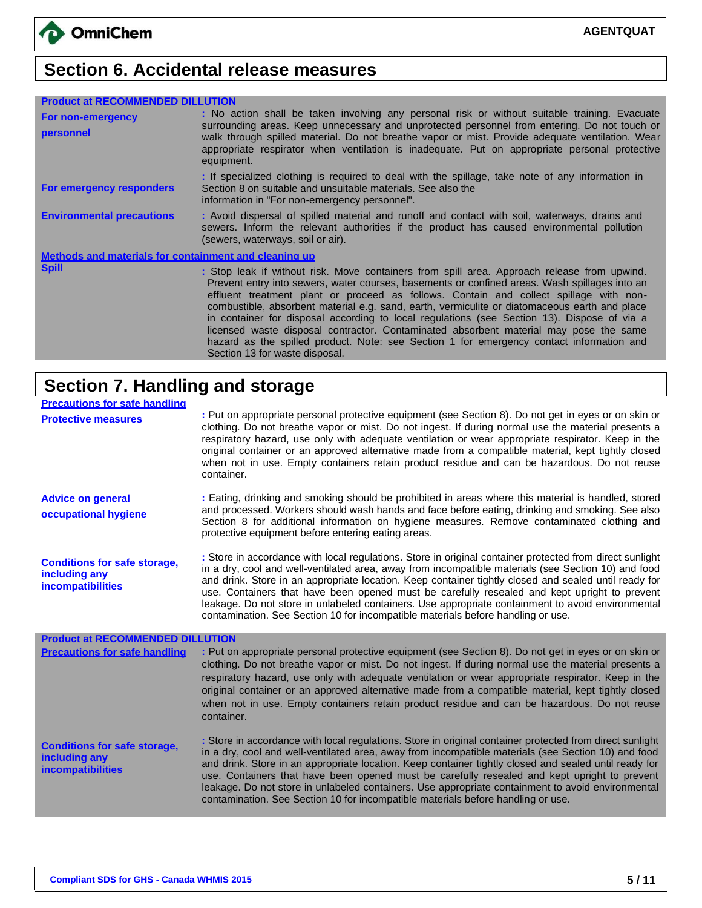# **Section 6. Accidental release measures**

| <b>Product at RECOMMENDED DILLUTION</b>               |                                                                                                                                                                                                                                                                                                                                                                                                                                                                                                                                                                                                                                                                                                               |
|-------------------------------------------------------|---------------------------------------------------------------------------------------------------------------------------------------------------------------------------------------------------------------------------------------------------------------------------------------------------------------------------------------------------------------------------------------------------------------------------------------------------------------------------------------------------------------------------------------------------------------------------------------------------------------------------------------------------------------------------------------------------------------|
| For non-emergency<br>personnel                        | : No action shall be taken involving any personal risk or without suitable training. Evacuate<br>surrounding areas. Keep unnecessary and unprotected personnel from entering. Do not touch or<br>walk through spilled material. Do not breathe vapor or mist. Provide adequate ventilation. Wear<br>appropriate respirator when ventilation is inadequate. Put on appropriate personal protective<br>equipment.                                                                                                                                                                                                                                                                                               |
| For emergency responders                              | : If specialized clothing is required to deal with the spillage, take note of any information in<br>Section 8 on suitable and unsuitable materials. See also the<br>information in "For non-emergency personnel".                                                                                                                                                                                                                                                                                                                                                                                                                                                                                             |
| <b>Environmental precautions</b>                      | : Avoid dispersal of spilled material and runoff and contact with soil, waterways, drains and<br>sewers. Inform the relevant authorities if the product has caused environmental pollution<br>(sewers, waterways, soil or air).                                                                                                                                                                                                                                                                                                                                                                                                                                                                               |
| Methods and materials for containment and cleaning up |                                                                                                                                                                                                                                                                                                                                                                                                                                                                                                                                                                                                                                                                                                               |
| <b>Spill</b>                                          | : Stop leak if without risk. Move containers from spill area. Approach release from upwind.<br>Prevent entry into sewers, water courses, basements or confined areas. Wash spillages into an<br>effluent treatment plant or proceed as follows. Contain and collect spillage with non-<br>combustible, absorbent material e.g. sand, earth, vermiculite or diatomaceous earth and place<br>in container for disposal according to local regulations (see Section 13). Dispose of via a<br>licensed waste disposal contractor. Contaminated absorbent material may pose the same<br>hazard as the spilled product. Note: see Section 1 for emergency contact information and<br>Section 13 for waste disposal. |

### **Section 7. Handling and storage**

| <b>Precautions for safe handling</b>                                             |                                                                                                                                                                                                                                                                                                                                                                                                                                                                                                                                                                                                                   |
|----------------------------------------------------------------------------------|-------------------------------------------------------------------------------------------------------------------------------------------------------------------------------------------------------------------------------------------------------------------------------------------------------------------------------------------------------------------------------------------------------------------------------------------------------------------------------------------------------------------------------------------------------------------------------------------------------------------|
| <b>Protective measures</b>                                                       | : Put on appropriate personal protective equipment (see Section 8). Do not get in eyes or on skin or<br>clothing. Do not breathe vapor or mist. Do not ingest. If during normal use the material presents a<br>respiratory hazard, use only with adequate ventilation or wear appropriate respirator. Keep in the<br>original container or an approved alternative made from a compatible material, kept tightly closed<br>when not in use. Empty containers retain product residue and can be hazardous. Do not reuse<br>container.                                                                              |
| <b>Advice on general</b><br>occupational hygiene                                 | : Eating, drinking and smoking should be prohibited in areas where this material is handled, stored<br>and processed. Workers should wash hands and face before eating, drinking and smoking. See also<br>Section 8 for additional information on hygiene measures. Remove contaminated clothing and<br>protective equipment before entering eating areas.                                                                                                                                                                                                                                                        |
| <b>Conditions for safe storage,</b><br>including any<br><b>incompatibilities</b> | : Store in accordance with local regulations. Store in original container protected from direct sunlight<br>in a dry, cool and well-ventilated area, away from incompatible materials (see Section 10) and food<br>and drink. Store in an appropriate location. Keep container tightly closed and sealed until ready for<br>use. Containers that have been opened must be carefully resealed and kept upright to prevent<br>leakage. Do not store in unlabeled containers. Use appropriate containment to avoid environmental<br>contamination. See Section 10 for incompatible materials before handling or use. |
| <b>Product at RECOMMENDED DILLUTION</b>                                          |                                                                                                                                                                                                                                                                                                                                                                                                                                                                                                                                                                                                                   |
| <b>Precautions for safe handling</b>                                             | : Put on appropriate personal protective equipment (see Section 8). Do not get in eyes or on skin or<br>clothing. Do not breathe vapor or mist. Do not ingest. If during normal use the material presents a<br>respiratory hazard, use only with adequate ventilation or wear appropriate respirator. Keep in the<br>original container or an approved alternative made from a compatible material, kept tightly closed<br>when not in use. Empty containers retain product residue and can be hazardous. Do not reuse<br>container.                                                                              |
| <b>Conditions for safe storage,</b><br>including any<br><b>incompatibilities</b> | : Store in accordance with local regulations. Store in original container protected from direct sunlight<br>in a dry, cool and well-ventilated area, away from incompatible materials (see Section 10) and food<br>and drink. Store in an appropriate location. Keep container tightly closed and sealed until ready for<br>use. Containers that have been opened must be carefully resealed and kept upright to prevent<br>leakage. Do not store in unlabeled containers. Use appropriate containment to avoid environmental<br>contamination. See Section 10 for incompatible materials before handling or use. |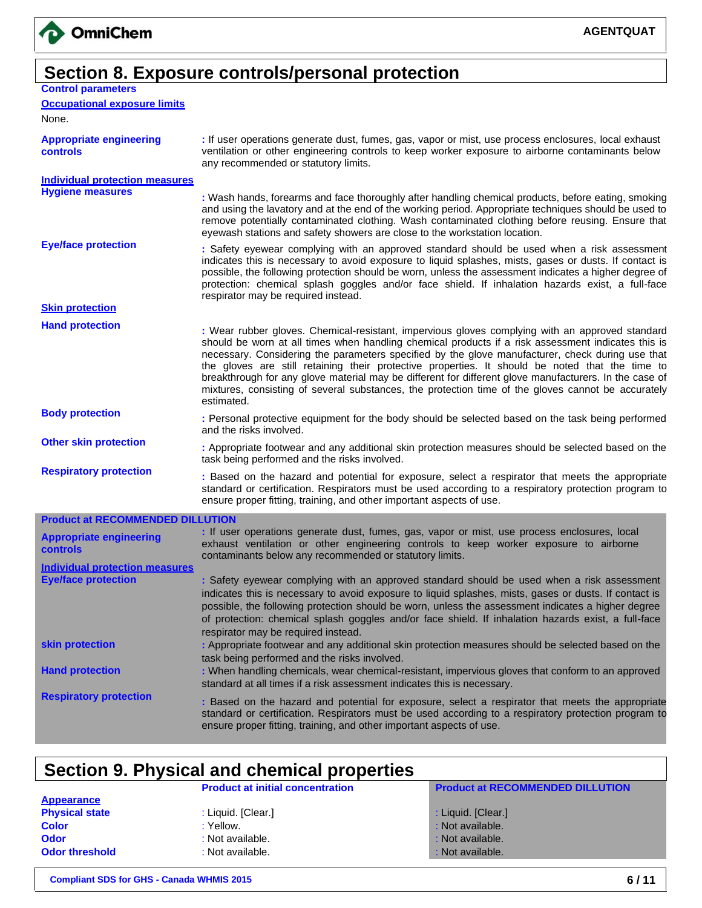

## **Section 8. Exposure controls/personal protection**

| <b>Control parameters</b> |  |
|---------------------------|--|
|                           |  |

**Occupational exposure limits**

None.

| <b>Appropriate engineering</b><br>controls | : If user operations generate dust, fumes, gas, vapor or mist, use process enclosures, local exhaust<br>ventilation or other engineering controls to keep worker exposure to airborne contaminants below<br>any recommended or statutory limits. |
|--------------------------------------------|--------------------------------------------------------------------------------------------------------------------------------------------------------------------------------------------------------------------------------------------------|
| Individual protection measures             |                                                                                                                                                                                                                                                  |

**Hygiene measures :** Wash hands, forearms and face thoroughly after handling chemical products, before eating, smoking and using the lavatory and at the end of the working period. Appropriate techniques should be used to remove potentially contaminated clothing. Wash contaminated clothing before reusing. Ensure that eyewash stations and safety showers are close to the workstation location.

**Eye/face protection :** Safety eyewear complying with an approved standard should be used when a risk assessment indicates this is necessary to avoid exposure to liquid splashes, mists, gases or dusts. If contact is possible, the following protection should be worn, unless the assessment indicates a higher degree of protection: chemical splash goggles and/or face shield. If inhalation hazards exist, a full-face respirator may be required instead.

**Skin protection**

**Hand protection :** Wear rubber gloves. Chemical-resistant, impervious gloves complying with an approved standard should be worn at all times when handling chemical products if a risk assessment indicates this is necessary. Considering the parameters specified by the glove manufacturer, check during use that the gloves are still retaining their protective properties. It should be noted that the time to breakthrough for any glove material may be different for different glove manufacturers. In the case of mixtures, consisting of several substances, the protection time of the gloves cannot be accurately estimated.

**Body protection :** Personal protective equipment for the body should be selected based on the task being performed and the risks involved.

**Other skin protection :** Appropriate footwear and any additional skin protection measures should be selected based on the task being performed and the risks involved.

**Respiratory protection :** Based on the hazard and potential for exposure, select a respirator that meets the appropriate standard or certification. Respirators must be used according to a respiratory protection program to ensure proper fitting, training, and other important aspects of use.

#### **Product at RECOMMENDED DILLUTION**

| <b>Appropriate engineering</b><br><b>controls</b> | : If user operations generate dust, fumes, gas, vapor or mist, use process enclosures, local<br>exhaust ventilation or other engineering controls to keep worker exposure to airborne<br>contaminants below any recommended or statutory limits.                                                                                                                                                                                                         |
|---------------------------------------------------|----------------------------------------------------------------------------------------------------------------------------------------------------------------------------------------------------------------------------------------------------------------------------------------------------------------------------------------------------------------------------------------------------------------------------------------------------------|
| <b>Individual protection measures</b>             |                                                                                                                                                                                                                                                                                                                                                                                                                                                          |
| <b>Eve/face protection</b>                        | : Safety eyewear complying with an approved standard should be used when a risk assessment<br>indicates this is necessary to avoid exposure to liquid splashes, mists, gases or dusts. If contact is<br>possible, the following protection should be worn, unless the assessment indicates a higher degree<br>of protection: chemical splash goggles and/or face shield. If inhalation hazards exist, a full-face<br>respirator may be required instead. |
| skin protection                                   | : Appropriate footwear and any additional skin protection measures should be selected based on the<br>task being performed and the risks involved.                                                                                                                                                                                                                                                                                                       |
| <b>Hand protection</b>                            | : When handling chemicals, wear chemical-resistant, impervious gloves that conform to an approved<br>standard at all times if a risk assessment indicates this is necessary.                                                                                                                                                                                                                                                                             |
| <b>Respiratory protection</b>                     | : Based on the hazard and potential for exposure, select a respirator that meets the appropriate<br>standard or certification. Respirators must be used according to a respiratory protection program to<br>ensure proper fitting, training, and other important aspects of use.                                                                                                                                                                         |

### **Section 9. Physical and chemical properties**

|                       | <b>Product at initial concentration</b> | <b>Product at RECOMMENDED DILLUTION</b> |
|-----------------------|-----------------------------------------|-----------------------------------------|
| <b>Appearance</b>     |                                         |                                         |
| <b>Physical state</b> | : Liquid. [Clear.]                      | : Liquid. [Clear.]                      |
| <b>Color</b>          | : Yellow.                               | : Not available.                        |
| <b>Odor</b>           | : Not available.                        | : Not available.                        |
| <b>Odor threshold</b> | : Not available.                        | : Not available.                        |
|                       |                                         |                                         |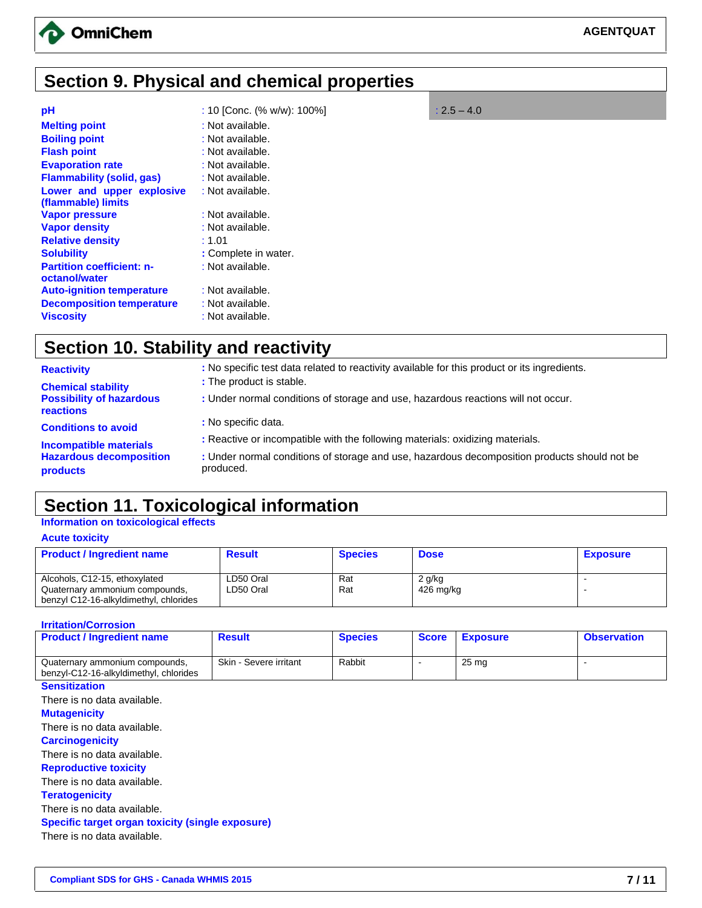

# **Section 9. Physical and chemical properties**

| : 10 [Conc. $% w/w$ ]: 100%] | $: 2.5 - 4.0$ |
|------------------------------|---------------|
| : Not available.             |               |
| : Not available.             |               |
| : Not available.             |               |
| : Not available.             |               |
| : Not available.             |               |
| : Not available.             |               |
|                              |               |
| : Not available.             |               |
| : Not available.             |               |
| : 1.01                       |               |
| : Complete in water.         |               |
| : Not available.             |               |
| : Not available.             |               |
| : Not available.             |               |
| : Not available.             |               |
|                              |               |

# **Section 10. Stability and reactivity**

| <b>Reactivity</b>                                   | : No specific test data related to reactivity available for this product or its ingredients.              |
|-----------------------------------------------------|-----------------------------------------------------------------------------------------------------------|
| <b>Chemical stability</b>                           | : The product is stable.                                                                                  |
| <b>Possibility of hazardous</b><br><b>reactions</b> | : Under normal conditions of storage and use, hazardous reactions will not occur.                         |
| <b>Conditions to avoid</b>                          | : No specific data.                                                                                       |
| <b>Incompatible materials</b>                       | : Reactive or incompatible with the following materials: oxidizing materials.                             |
| <b>Hazardous decomposition</b><br><b>products</b>   | : Under normal conditions of storage and use, hazardous decomposition products should not be<br>produced. |
|                                                     |                                                                                                           |

# **Section 11. Toxicological information**

#### **Information on toxicological effects**

**Acute toxicity**

| <b>Product / Ingredient name</b>                                                                          | <b>Result</b>          | <b>Species</b> | <b>Dose</b>           | <b>Exposure</b> |
|-----------------------------------------------------------------------------------------------------------|------------------------|----------------|-----------------------|-----------------|
| Alcohols, C12-15, ethoxylated<br>Quaternary ammonium compounds,<br>benzyl C12-16-alkyldimethyl, chlorides | LD50 Oral<br>LD50 Oral | Rat<br>Rat     | $2$ g/kg<br>426 mg/kg |                 |

#### **Irritation/Corrosion**

| <b>Product / Ingredient name</b>                                         | <b>Result</b>          | <b>Species</b> | <b>Score</b>   | <b>Exposure</b>  | <b>Observation</b> |
|--------------------------------------------------------------------------|------------------------|----------------|----------------|------------------|--------------------|
| Quaternary ammonium compounds,<br>benzyl-C12-16-alkyldimethyl, chlorides | Skin - Severe irritant | Rabbit         | $\blacksquare$ | 25 <sub>mg</sub> |                    |
| <b>Sensitization</b>                                                     |                        |                |                |                  |                    |
| There is no data available.                                              |                        |                |                |                  |                    |
| <b>Mutagenicity</b>                                                      |                        |                |                |                  |                    |
| There is no data available.                                              |                        |                |                |                  |                    |
| <b>Carcinogenicity</b>                                                   |                        |                |                |                  |                    |
| There is no data available.                                              |                        |                |                |                  |                    |
| <b>Reproductive toxicity</b>                                             |                        |                |                |                  |                    |
| There is no data available.                                              |                        |                |                |                  |                    |
| <b>Teratogenicity</b>                                                    |                        |                |                |                  |                    |
| There is no data available.                                              |                        |                |                |                  |                    |
| Specific target organ toxicity (single exposure)                         |                        |                |                |                  |                    |
| There is no data available.                                              |                        |                |                |                  |                    |
|                                                                          |                        |                |                |                  |                    |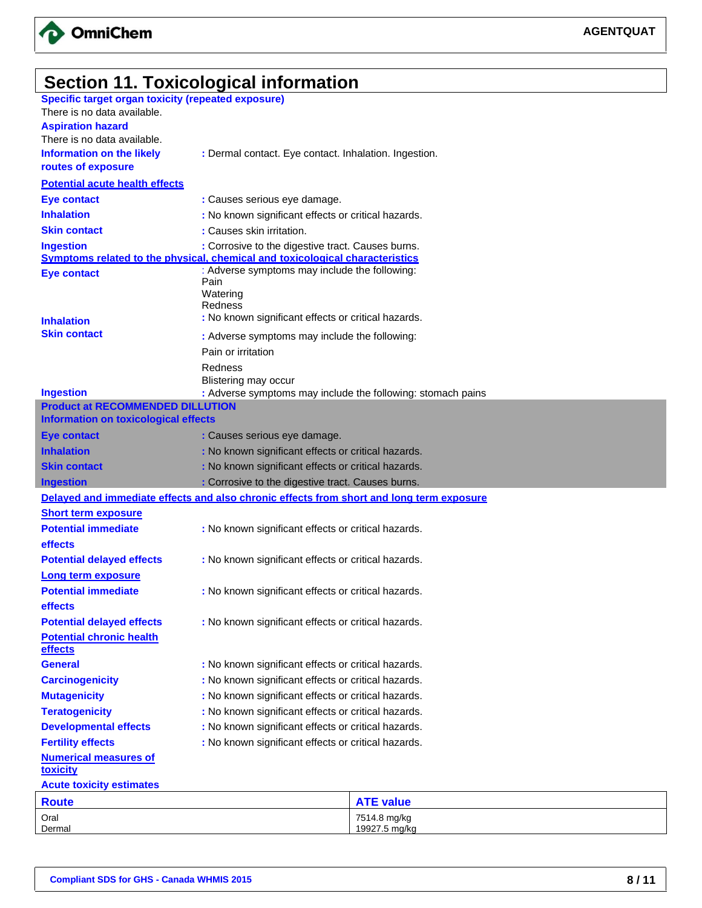

## **Section 11. Toxicological information**

| <b>Specific target organ toxicity (repeated exposure)</b> |                                                                                          |
|-----------------------------------------------------------|------------------------------------------------------------------------------------------|
| There is no data available.                               |                                                                                          |
| <b>Aspiration hazard</b>                                  |                                                                                          |
| There is no data available.                               |                                                                                          |
| <b>Information on the likely</b>                          | : Dermal contact. Eye contact. Inhalation. Ingestion.                                    |
| routes of exposure                                        |                                                                                          |
| <b>Potential acute health effects</b>                     |                                                                                          |
| <b>Eye contact</b>                                        | : Causes serious eye damage.                                                             |
| <b>Inhalation</b>                                         | : No known significant effects or critical hazards.                                      |
| <b>Skin contact</b>                                       | : Causes skin irritation.                                                                |
| <b>Ingestion</b>                                          | : Corrosive to the digestive tract. Causes burns.                                        |
|                                                           | Symptoms related to the physical, chemical and toxicological characteristics             |
| <b>Eye contact</b>                                        | : Adverse symptoms may include the following:                                            |
|                                                           | Pain                                                                                     |
|                                                           | Watering<br>Redness                                                                      |
| <b>Inhalation</b>                                         | : No known significant effects or critical hazards.                                      |
| <b>Skin contact</b>                                       |                                                                                          |
|                                                           | : Adverse symptoms may include the following:                                            |
|                                                           | Pain or irritation                                                                       |
|                                                           | Redness                                                                                  |
| <b>Ingestion</b>                                          | Blistering may occur<br>: Adverse symptoms may include the following: stomach pains      |
| <b>Product at RECOMMENDED DILLUTION</b>                   |                                                                                          |
| <b>Information on toxicological effects</b>               |                                                                                          |
| <b>Eye contact</b>                                        | : Causes serious eye damage.                                                             |
| <b>Inhalation</b>                                         | : No known significant effects or critical hazards.                                      |
| <b>Skin contact</b>                                       | : No known significant effects or critical hazards.                                      |
| <b>Ingestion</b>                                          | : Corrosive to the digestive tract. Causes burns.                                        |
|                                                           | Delayed and immediate effects and also chronic effects from short and long term exposure |
| <b>Short term exposure</b>                                |                                                                                          |
| <b>Potential immediate</b>                                | : No known significant effects or critical hazards.                                      |
| effects                                                   |                                                                                          |
| <b>Potential delayed effects</b>                          | : No known significant effects or critical hazards.                                      |
| Long term exposure                                        |                                                                                          |
| <b>Potential immediate</b>                                | : No known significant effects or critical hazards.                                      |
| effects                                                   |                                                                                          |
| <b>Potential delayed effects</b>                          | : No known significant effects or critical hazards.                                      |
| <b>Potential chronic health</b><br>effects                |                                                                                          |
| <b>General</b>                                            | : No known significant effects or critical hazards.                                      |
| <b>Carcinogenicity</b>                                    | : No known significant effects or critical hazards.                                      |
| <b>Mutagenicity</b>                                       | : No known significant effects or critical hazards.                                      |
| <b>Teratogenicity</b>                                     | : No known significant effects or critical hazards.                                      |
| <b>Developmental effects</b>                              | : No known significant effects or critical hazards.                                      |
| <b>Fertility effects</b>                                  | : No known significant effects or critical hazards.                                      |
| <b>Numerical measures of</b><br><b>toxicity</b>           |                                                                                          |
| <b>Acute toxicity estimates</b>                           |                                                                                          |
| <b>Route</b>                                              | <b>ATF value</b>                                                                         |

| <b>Route</b> | value         |
|--------------|---------------|
| Oral         | 7514.8 mg/kg  |
| Dermal       | 19927.5 mg/kg |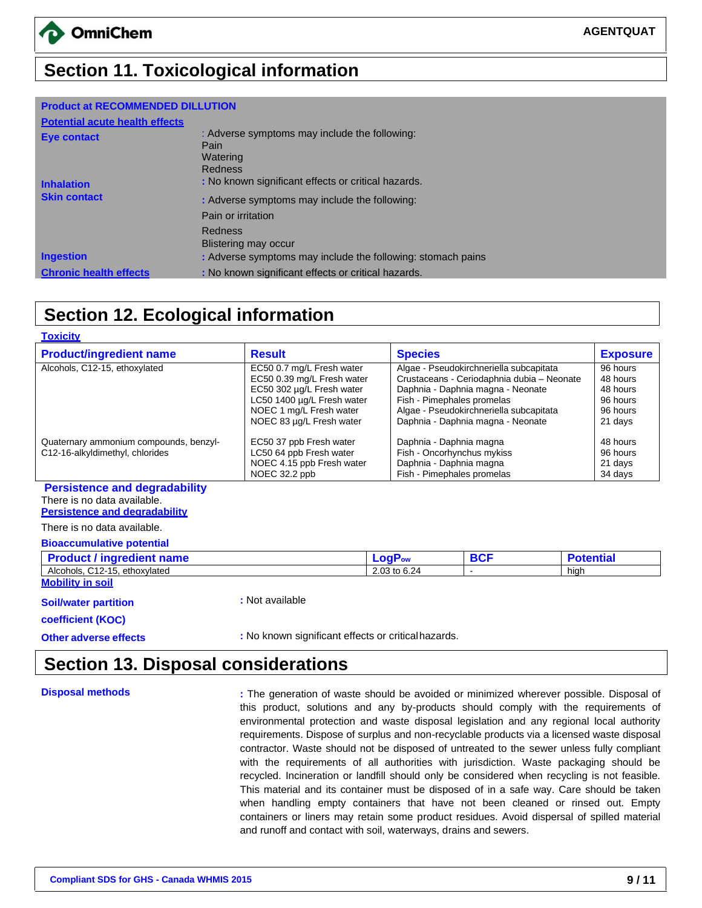## **Section 11. Toxicological information**

#### **Product at RECOMMENDED DILLUTION**

| <b>Potential acute health effects</b> |                                                                   |
|---------------------------------------|-------------------------------------------------------------------|
| <b>Eye contact</b>                    | : Adverse symptoms may include the following:<br>Pain<br>Watering |
|                                       | Redness                                                           |
| <b>Inhalation</b>                     | : No known significant effects or critical hazards.               |
| <b>Skin contact</b>                   | : Adverse symptoms may include the following:                     |
|                                       | Pain or irritation                                                |
|                                       | Redness                                                           |
|                                       | Blistering may occur                                              |
| <b>Ingestion</b>                      | : Adverse symptoms may include the following: stomach pains       |
| <b>Chronic health effects</b>         | : No known significant effects or critical hazards.               |

# **Section 12. Ecological information**

| <b>Toxicity</b>                                                                                             |                            |                                         |                                            |                  |
|-------------------------------------------------------------------------------------------------------------|----------------------------|-----------------------------------------|--------------------------------------------|------------------|
| <b>Product/ingredient name</b>                                                                              | <b>Result</b>              | <b>Species</b>                          |                                            | <b>Exposure</b>  |
| Alcohols, C12-15, ethoxylated                                                                               | EC50 0.7 mg/L Fresh water  | Algae - Pseudokirchneriella subcapitata |                                            | 96 hours         |
|                                                                                                             | EC50 0.39 mg/L Fresh water |                                         | Crustaceans - Ceriodaphnia dubia - Neonate | 48 hours         |
|                                                                                                             | EC50 302 µg/L Fresh water  |                                         | Daphnia - Daphnia magna - Neonate          | 48 hours         |
|                                                                                                             | LC50 1400 µg/L Fresh water | Fish - Pimephales promelas              |                                            | 96 hours         |
|                                                                                                             | NOEC 1 mg/L Fresh water    |                                         | Algae - Pseudokirchneriella subcapitata    | 96 hours         |
|                                                                                                             | NOEC 83 µg/L Fresh water   |                                         | Daphnia - Daphnia magna - Neonate          | 21 days          |
| Quaternary ammonium compounds, benzyl-                                                                      | EC50 37 ppb Fresh water    | Daphnia - Daphnia magna                 |                                            | 48 hours         |
| C12-16-alkyldimethyl, chlorides                                                                             | LC50 64 ppb Fresh water    | Fish - Oncorhynchus mykiss              |                                            | 96 hours         |
|                                                                                                             | NOEC 4.15 ppb Fresh water  | Daphnia - Daphnia magna                 |                                            | 21 days          |
|                                                                                                             | NOEC 32.2 ppb              | Fish - Pimephales promelas              |                                            | 34 days          |
| <b>Persistence and degradability</b><br>There is no data available.<br><b>Persistence and degradability</b> |                            |                                         |                                            |                  |
| There is no data available.                                                                                 |                            |                                         |                                            |                  |
| <b>Bioaccumulative potential</b>                                                                            |                            |                                         |                                            |                  |
| <b>Product / ingredient name</b>                                                                            |                            | <b>LogPow</b>                           | <b>BCF</b>                                 | <b>Potential</b> |
| Alcohols, C12-15, ethoxylated                                                                               |                            | 2.03 to 6.24                            | $\overline{a}$                             | high             |
| <b>Mobility in soil</b>                                                                                     |                            |                                         |                                            |                  |

**Soil/water partition :** Not available

**coefficient (KOC)**

**Other adverse effects :** No known significant effects or criticalhazards.

### **Section 13. Disposal considerations**

**Disposal methods included in the generation of waste should be avoided or minimized wherever possible. Disposal of** this product, solutions and any by-products should comply with the requirements of environmental protection and waste disposal legislation and any regional local authority requirements. Dispose of surplus and non-recyclable products via a licensed waste disposal contractor. Waste should not be disposed of untreated to the sewer unless fully compliant with the requirements of all authorities with jurisdiction. Waste packaging should be recycled. Incineration or landfill should only be considered when recycling is not feasible. This material and its container must be disposed of in a safe way. Care should be taken when handling empty containers that have not been cleaned or rinsed out. Empty containers or liners may retain some product residues. Avoid dispersal of spilled material and runoff and contact with soil, waterways, drains and sewers.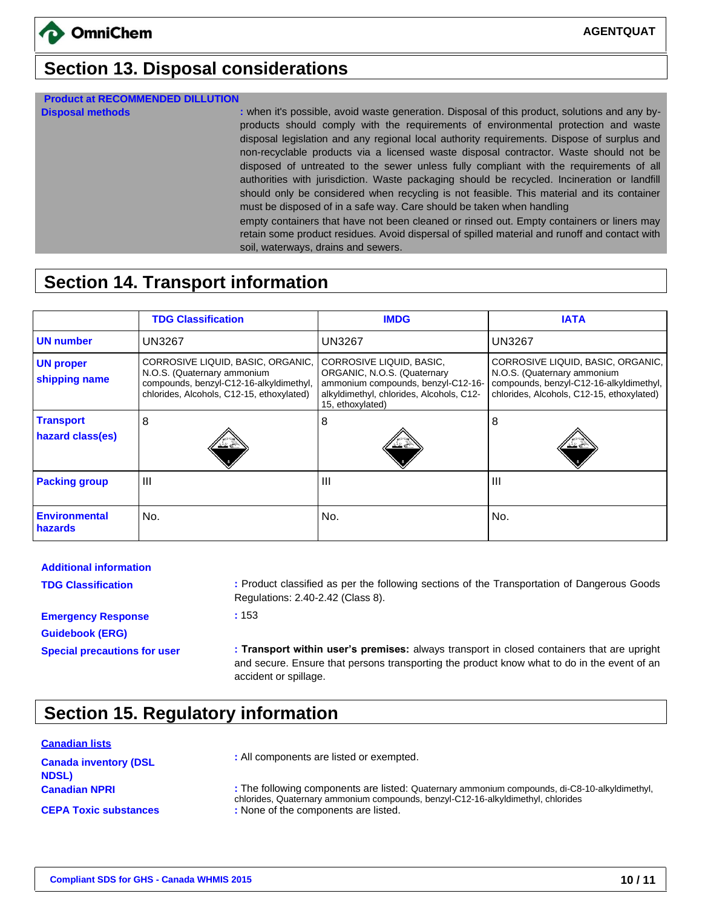## **Section 13. Disposal considerations**

#### **Product at RECOMMENDED DILLUTION**

**Disposal methods :** when it's possible, avoid waste generation. Disposal of this product, solutions and any byproducts should comply with the requirements of environmental protection and waste disposal legislation and any regional local authority requirements. Dispose of surplus and non-recyclable products via a licensed waste disposal contractor. Waste should not be disposed of untreated to the sewer unless fully compliant with the requirements of all authorities with jurisdiction. Waste packaging should be recycled. Incineration or landfill should only be considered when recycling is not feasible. This material and its container must be disposed of in a safe way. Care should be taken when handling

empty containers that have not been cleaned or rinsed out. Empty containers or liners may retain some product residues. Avoid dispersal of spilled material and runoff and contact with soil, waterways, drains and sewers.

## **Section 14. Transport information**

|                                      | <b>TDG Classification</b>                                                                                                                                | <b>IMDG</b>                                                                                                                                                   | <b>IATA</b>                                                                                                                                              |
|--------------------------------------|----------------------------------------------------------------------------------------------------------------------------------------------------------|---------------------------------------------------------------------------------------------------------------------------------------------------------------|----------------------------------------------------------------------------------------------------------------------------------------------------------|
| <b>UN number</b>                     | <b>UN3267</b>                                                                                                                                            | <b>UN3267</b>                                                                                                                                                 | <b>UN3267</b>                                                                                                                                            |
| <b>UN proper</b><br>shipping name    | CORROSIVE LIQUID, BASIC, ORGANIC,<br>N.O.S. (Quaternary ammonium<br>compounds, benzyl-C12-16-alkyldimethyl,<br>chlorides, Alcohols, C12-15, ethoxylated) | CORROSIVE LIQUID, BASIC,<br>ORGANIC, N.O.S. (Quaternary<br>ammonium compounds, benzyl-C12-16-<br>alkyldimethyl, chlorides, Alcohols, C12-<br>15, ethoxylated) | CORROSIVE LIQUID, BASIC, ORGANIC,<br>N.O.S. (Quaternary ammonium<br>compounds, benzyl-C12-16-alkyldimethyl,<br>chlorides, Alcohols, C12-15, ethoxylated) |
| <b>Transport</b><br>hazard class(es) | 8                                                                                                                                                        | 8                                                                                                                                                             | 8                                                                                                                                                        |
| <b>Packing group</b>                 | Ш                                                                                                                                                        | $\mathbf{III}$                                                                                                                                                | $\mathbf{  }$                                                                                                                                            |
| <b>Environmental</b><br>hazards      | No.                                                                                                                                                      | No.                                                                                                                                                           | No.                                                                                                                                                      |

| <b>Additional information</b>                       |                                                                                                                                                                                                                    |
|-----------------------------------------------------|--------------------------------------------------------------------------------------------------------------------------------------------------------------------------------------------------------------------|
| <b>TDG Classification</b>                           | : Product classified as per the following sections of the Transportation of Dangerous Goods<br>Regulations: 2.40-2.42 (Class 8).                                                                                   |
| <b>Emergency Response</b><br><b>Guidebook (ERG)</b> | :153                                                                                                                                                                                                               |
| <b>Special precautions for user</b>                 | : Transport within user's premises: always transport in closed containers that are upright<br>and secure. Ensure that persons transporting the product know what to do in the event of an<br>accident or spillage. |

# **Section 15. Regulatory information**

#### **Canadian lists**

| <b>Canada inventory (DSL)</b><br><b>NDSL)</b> | : All components are listed or exempted.                                                                                                                                          |
|-----------------------------------------------|-----------------------------------------------------------------------------------------------------------------------------------------------------------------------------------|
| <b>Canadian NPRI</b>                          | : The following components are listed: Quaternary ammonium compounds, di-C8-10-alkyldimethyl,<br>chlorides, Quaternary ammonium compounds, benzyl-C12-16-alkyldimethyl, chlorides |
| <b>CEPA Toxic substances</b>                  | : None of the components are listed.                                                                                                                                              |